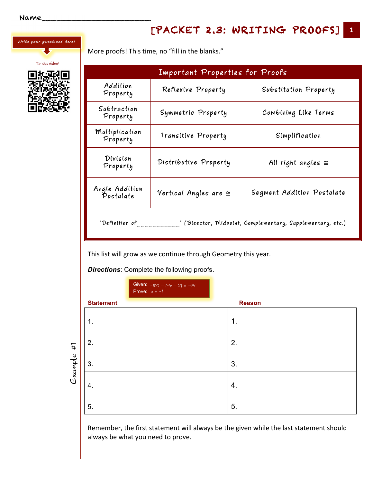Write your questions here!

To the video!

More proofs! This time, no "fill in the blanks."

| Important Properties for Proofs                                                   |                             |                            |  |  |
|-----------------------------------------------------------------------------------|-----------------------------|----------------------------|--|--|
| Addition<br>Property                                                              | Reflexive Property          | Substitution Property      |  |  |
| Subtraction<br>Property                                                           | Symmetric Property          | Combining Like Terms       |  |  |
| Multiplication<br>Property                                                        | Transitive Property         | Simplification             |  |  |
| Division<br>Property                                                              | Distributive Property       | All right angles $\cong$   |  |  |
| Angle Addition<br>Postulate                                                       | Vertical Angles are $\cong$ | Segment Addition Postulate |  |  |
| "Definition of____<br>." (Bisector, Midpoint, Complementary, Supplementary, etc.) |                             |                            |  |  |

This list will grow as we continue through Geometry this year.

*Directions*: Complete the following proofs.

|                       |                  | Given: $-100 - (4x - 2) = -94$<br>Prove: $x = -1$ |               |
|-----------------------|------------------|---------------------------------------------------|---------------|
|                       | <b>Statement</b> |                                                   | <b>Reason</b> |
| $\ddot{+}$<br>Example | 1.               |                                                   | 1.            |
|                       | 2.               |                                                   | 2.            |
|                       | 3.               |                                                   | 3.            |
|                       | 4.               |                                                   | 4.            |
|                       | 5.               |                                                   | 5.            |

Remember, the first statement will always be the given while the last statement should always be what you need to prove.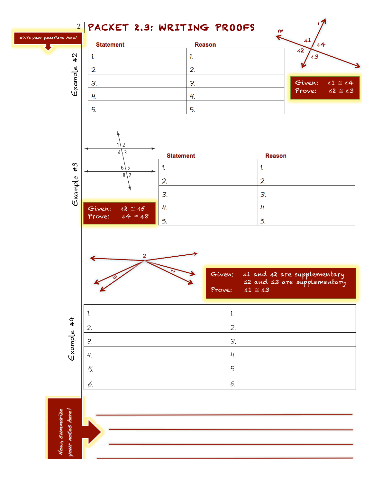

vour notes here! Vow, summarize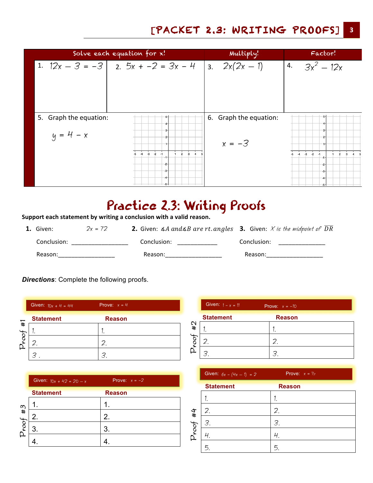## [PACKET 2.3: WRITING PROOFS] **3**

|                                       | Solve each equation for x!                                                                 | Multiply!                          | Factor!                                                                               |
|---------------------------------------|--------------------------------------------------------------------------------------------|------------------------------------|---------------------------------------------------------------------------------------|
|                                       | 1. $12x - 3 = -3 \mid 2.5x - 2 = 3x - 4 \mid 3.2x(2x - 1)$                                 |                                    | 4. $3x^2 - 12x$                                                                       |
| 5. Graph the equation:<br>$y = 4 - x$ | 3.<br>$-3$<br>$-2$<br>$\overline{2}$<br>$\mathbf{3}$<br>$-1$<br>$-4$<br>-5<br>$-1$<br>$-2$ | 6. Graph the equation:<br>$x = -3$ | -3-<br>$-3$<br>$-2$<br>$-4$<br>$\overline{2}$<br>$\mathbf{3}$<br>$-5$<br>$-1$<br>$-2$ |
|                                       | $-3-$<br>$-4$<br>-54                                                                       |                                    | -3-<br>-4.<br>- -5 -1                                                                 |

## Practice 2.3: Writing Proofs

Support each statement by writing a conclusion with a valid reason.

| 1. Given:   | $2x = 72$ | <b>2.</b> Given: $\triangle A$ and $\triangle B$ are rt. angles <b>3.</b> Given: X is the midpoint of DR |             |
|-------------|-----------|----------------------------------------------------------------------------------------------------------|-------------|
| Conclusion: |           | Conclusion:                                                                                              | Conclusion: |
| Reason:     |           | Reason:                                                                                                  | Reason:     |

*Directions*: Complete the following proofs.

|      | Given: $10x + 4 = 44$ | Prove: $x = 4$ |
|------|-----------------------|----------------|
|      | <b>Statement</b>      | <b>Reason</b>  |
| #    |                       |                |
| toot |                       |                |
|      |                       |                |

|       | Given: $10x + 42 = 20 - x$ | Prove: $x = -2$ |
|-------|----------------------------|-----------------|
|       | <b>Statement</b>           | <b>Reason</b>   |
| #3    |                            |                 |
| Proot | 2.                         | $\mathbf{2}$    |
|       |                            | 3.              |
|       |                            |                 |

|      | Given: $1 - x = 11$ | Prove: $x = -10$ |
|------|---------------------|------------------|
|      | <b>Statement</b>    | <b>Reason</b>    |
| #2   |                     |                  |
| foot |                     |                  |
|      |                     |                  |

|       | Given: $6x - (4x - 1) = 2$ | Prove: $x = \frac{1}{2}$ |
|-------|----------------------------|--------------------------|
|       | <b>Statement</b>           | <b>Reason</b>            |
|       |                            |                          |
| #4    | 2.                         | 2.                       |
|       | 3.                         | 3.                       |
| Proof |                            |                          |
|       | 5                          | 5.                       |